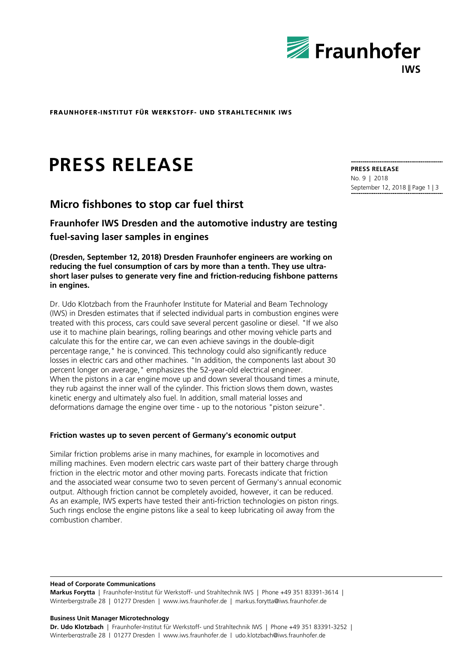

**FRAUNHOFER-INSTITUT FÜR WERKSTOFF- UND STRAHLTECHNIK IWS**

# FRAUNHOFER-INSTITUT FÜR WERKSTOFF- UND STRAHL<br>**PRESS RELEASE**<br>Micro fishbones to stop car fuel thirst **PRESS RELEASE**

**Fraunhofer IWS Dresden and the automotive industry are testing fuel-saving laser samples in engines**

**(Dresden, September 12, 2018) Dresden Fraunhofer engineers are working on reducing the fuel consumption of cars by more than a tenth. They use ultrashort laser pulses to generate very fine and friction-reducing fishbone patterns in engines.**

Dr. Udo Klotzbach from the Fraunhofer Institute for Material and Beam Technology (IWS) in Dresden estimates that if selected individual parts in combustion engines were treated with this process, cars could save several percent gasoline or diesel. "If we also use it to machine plain bearings, rolling bearings and other moving vehicle parts and calculate this for the entire car, we can even achieve savings in the double-digit percentage range," he is convinced. This technology could also significantly reduce losses in electric cars and other machines. "In addition, the components last about 30 percent longer on average," emphasizes the 52-year-old electrical engineer. When the pistons in a car engine move up and down several thousand times a minute, they rub against the inner wall of the cylinder. This friction slows them down, wastes kinetic energy and ultimately also fuel. In addition, small material losses and deformations damage the engine over time - up to the notorious "piston seizure".

# **Friction wastes up to seven percent of Germany's economic output**

Similar friction problems arise in many machines, for example in locomotives and milling machines. Even modern electric cars waste part of their battery charge through friction in the electric motor and other moving parts. Forecasts indicate that friction and the associated wear consume two to seven percent of Germany's annual economic output. Although friction cannot be completely avoided, however, it can be reduced. As an example, IWS experts have tested their anti-friction technologies on piston rings. Such rings enclose the engine pistons like a seal to keep lubricating oil away from the combustion chamber.

#### **Head of Corporate Communications**

**Markus Forytta** | Fraunhofer-Institut für Werkstoff- und Strahltechnik IWS | Phone +49 351 83391-3614 | Winterbergstraße 28 | 01277 Dresden | www.iws.fraunhofer.de | markus.forytta@iws.fraunhofer.de

### **Business Unit Manager Microtechnology**

**Dr. Udo Klotzbach** | Fraunhofer-Institut für Werkstoff- und Strahltechnik IWS | Phone +49 351 83391-3252 | Winterberastraße 28 | 01277 Dresden | www.iws.fraunhofer.de | udo.klotzbach@iws.fraunhofer.de

**PRESS RELEASE** No. 9 | 2018 September 12, 2018 || Page 1 | 3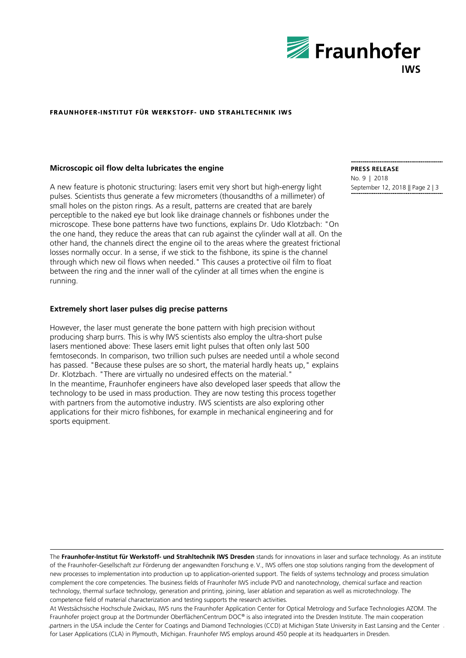

# **FRAUNHOFER FRAUNHOFER-INSTITUT FÜR INSTITUT WERKSTO WERKSTOFF- UND STRAHLTECHNIK IW IWS**

# **Microscopic oil flow delta lubricates the engine**

A new feature is photonic structuring: lasers emit very short but high-energy light pulses. Scientists thus generate a few micrometers (thousandths of a millimeter) of small holes on the piston rings. As a result, patterns are created that are barely perceptible to the naked eye but look like drainage channels or fishbones under the microscope. These bone patterns have two functions, explains Dr. Udo Klotzbach: "On the one hand, they reduce the areas that can rub against the cylinder wall at all. On the other hand, the channels direct the engine oil to the areas where the greatest frictional losses normally occur. In a sense, if we stick to the fishbone, its spine is the channel through which new oil flows when needed." This causes a protective oil film to float between the ring and the inner wall of the cylinder at all times when the engine is running.

# **Extremely short laser pulses dig precise patterns**

However, the laser must generate the bone pattern with high precision without producing sharp burrs. This is why IWS scientists also employ the ultra-short pulse lasers mentioned above: These lasers emit light pulses that often only last 500 femtoseconds. In comparison, two trillion such pulses are needed until a whole second has passed. "Because these pulses are so short, the material hardly heats up," explains Dr. Klotzbach. "There are virtually no undesired effects on the material." In the meantime, Fraunhofer engineers have also developed laser speeds that allow the technology to be used in mass production. They are now testing this process together with partners from the automotive industry. IWS scientists are also exploring other applications for their micro fishbones, for example in mechanical engineering and for sports equipment.

**PRESS RELEASE** No. 9 | 2018

September 12, 2018 || Page 2 | 3

The **Fraunhofer-Institut für Werkstoff- und Strahltechnik IWS Dresden** stands for innovations in laser and surface technology. As an institute of the Fraunhofer-Gesellschaft zur Förderung der angewandten Forschung e.  V., IWS offers one stop solutions ranging from the development of new processes to implementation into production up to application-oriented support. The fields of systems technology and process simulation complement the core competencies. The business fields of Fraunhofer IWS include PVD and nanotechnology, chemical surface and reaction technology, thermal surface technology, generation and printing, joining, laser ablation and separation as well as microtechnology. The competence field of material characterization and testing supports the research activities.

At Westsächsische Hochschule Zwickau, IWS runs the Fraunhofer Application Center for Optical Metrology and Surface Technologies AZOM. The Fraunhofer project group at the Dortmunder OberflächenCentrum DOC® is also integrated into the Dresden Institute. The main cooperation partners in the USA include the Center for Coatings and Diamond Technologies (CCD) at Michigan State University in East Lansing and the Center for Laser Applications (CLA) in Plymouth, Michigan. Fraunhofer IWS employs around 450 people at its headquarters in Dresden.